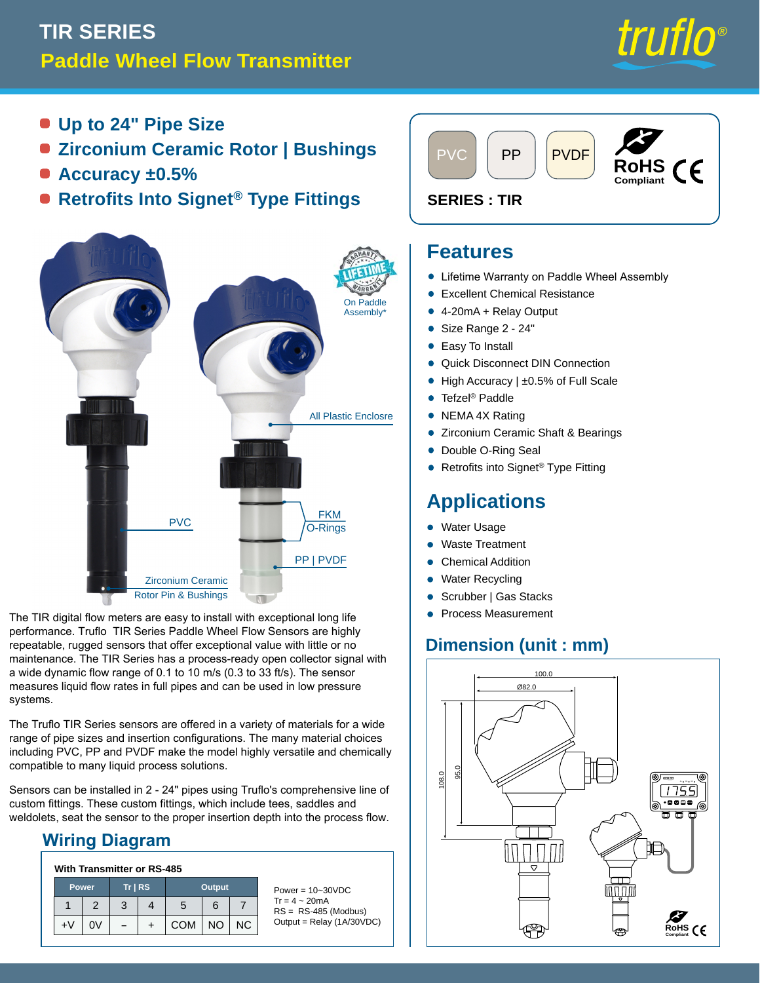# **Paddle Wheel Flow Transmitter TIR SERIES**



- **Up to 24" Pipe Size**
- **Zirconium Ceramic Rotor | Bushings**
- **Accuracy ±0.5%**
- **Retrofits Into Signet® Type Fittings**



The TIR digital flow meters are easy to install with exceptional long life performance. Truflo TIR Series Paddle Wheel Flow Sensors are highly repeatable, rugged sensors that offer exceptional value with little or no maintenance. The TIR Series has a process-ready open collector signal with a wide dynamic flow range of 0.1 to 10 m/s (0.3 to 33 ft/s). The sensor measures liquid flow rates in full pipes and can be used in low pressure systems.

The Truflo TIR Series sensors are offered in a variety of materials for a wide range of pipe sizes and insertion configurations. The many material choices including PVC, PP and PVDF make the model highly versatile and chemically compatible to many liquid process solutions.

Sensors can be installed in 2 - 24" pipes using Truflo's comprehensive line of custom fittings. These custom fittings, which include tees, saddles and weldolets, seat the sensor to the proper insertion depth into the process flow.

### **Wiring Diagram**

#### **With Transmitter or RS-485**

| Power, |    | $Tr$ RS |  | <b>Output</b> |           |    |
|--------|----|---------|--|---------------|-----------|----|
|        | 2  | 3       |  | 5             | 6         |    |
| +٧     | 0V |         |  | <b>COM</b>    | <b>NO</b> | ΝC |

Power = 10~30VDC  $Tr = 4 \sim 20$ mA RS = RS-485 (Modbus) Output = Relay (1A/30VDC)



#### **Features**

- Lifetime Warranty on Paddle Wheel Assembly •
- Excellent Chemical Resistance •
- 4-20mA + Relay Output
- Size Range 2 24" •
- Easy To Install •

•

- Quick Disconnect DIN Connection •
- High Accuracy | ±0.5% of Full Scale •
- Tefzel® Paddle •
- NEMA 4X Rating •
- Zirconium Ceramic Shaft & Bearings •
- Double O-Ring Seal •
- Retrofits into Signet® Type Fitting •

## **Applications**

- Water Usage •
- Waste Treatment •
- Chemical Addition
- Water Recycling •
- Scrubber | Gas Stacks •
- Process Measurement

### **Dimension (unit : mm)**